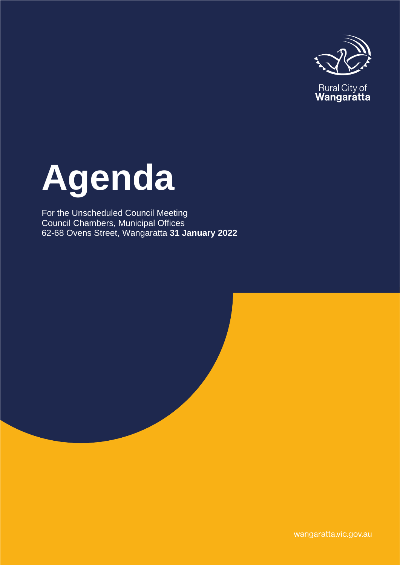

# **Agenda**

For the Unscheduled Council Meeting Council Chambers, Municipal Offices 62-68 Ovens Street, Wangaratta **31 January 2022**

wangaratta.vic.gov.au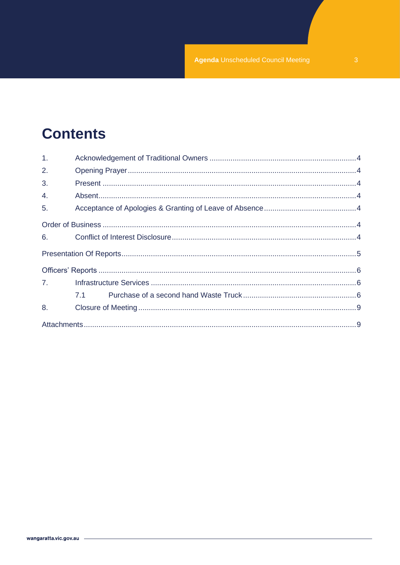# **Contents**

| 1 <sub>1</sub> |     |  |
|----------------|-----|--|
| 2.             |     |  |
| 3.             |     |  |
| 4.             |     |  |
| 5.             |     |  |
|                |     |  |
| 6.             |     |  |
|                |     |  |
|                |     |  |
| 7.             |     |  |
|                | 7.1 |  |
| 8.             |     |  |
|                |     |  |
|                |     |  |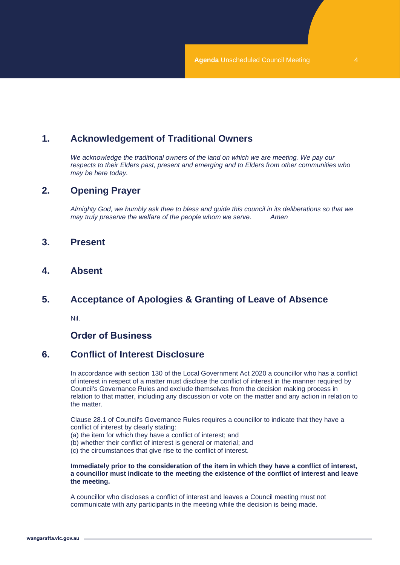# <span id="page-3-0"></span>**1. Acknowledgement of Traditional Owners**

*We acknowledge the traditional owners of the land on which we are meeting. We pay our respects to their Elders past, present and emerging and to Elders from other communities who may be here today.*

## <span id="page-3-1"></span>**2. Opening Prayer**

*Almighty God, we humbly ask thee to bless and guide this council in its deliberations so that we may truly preserve the welfare of the people whom we serve. Amen*

- <span id="page-3-2"></span>**3. Present**
- <span id="page-3-3"></span>**4. Absent**

# <span id="page-3-4"></span>**5. Acceptance of Apologies & Granting of Leave of Absence**

Nil.

# **Order of Business**

# <span id="page-3-6"></span><span id="page-3-5"></span>**6. Conflict of Interest Disclosure**

In accordance with section 130 of the Local Government Act 2020 a councillor who has a conflict of interest in respect of a matter must disclose the conflict of interest in the manner required by Council's Governance Rules and exclude themselves from the decision making process in relation to that matter, including any discussion or vote on the matter and any action in relation to the matter.

Clause 28.1 of Council's Governance Rules requires a councillor to indicate that they have a conflict of interest by clearly stating:

- (a) the item for which they have a conflict of interest; and
- (b) whether their conflict of interest is general or material; and
- (c) the circumstances that give rise to the conflict of interest.

#### **Immediately prior to the consideration of the item in which they have a conflict of interest, a councillor must indicate to the meeting the existence of the conflict of interest and leave the meeting.**

A councillor who discloses a conflict of interest and leaves a Council meeting must not communicate with any participants in the meeting while the decision is being made.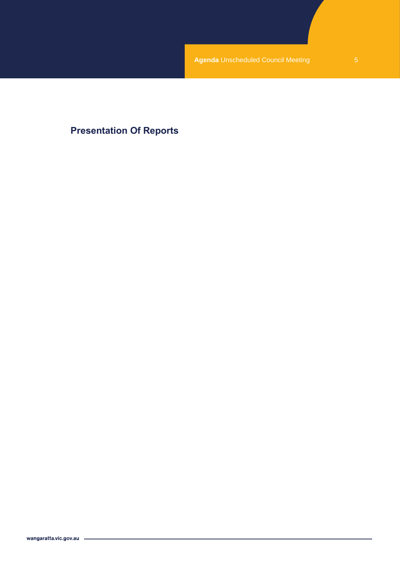# <span id="page-4-0"></span>**Presentation Of Reports**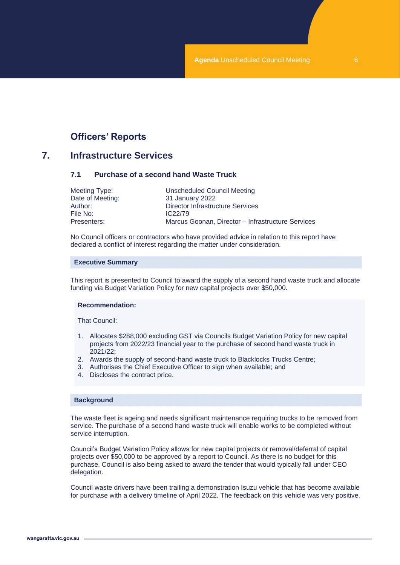# **Officers' Reports**

## <span id="page-5-2"></span><span id="page-5-1"></span><span id="page-5-0"></span>**7. Infrastructure Services**

#### **7.1 Purchase of a second hand Waste Truck**

| Meeting Type:    | Unscheduled Council Meeting                       |
|------------------|---------------------------------------------------|
| Date of Meeting: | 31 January 2022                                   |
| Author: .        | Director Infrastructure Services                  |
| File No:         | IC <sub>22/79</sub>                               |
| Presenters:      | Marcus Goonan, Director - Infrastructure Services |

No Council officers or contractors who have provided advice in relation to this report have declared a conflict of interest regarding the matter under consideration.

#### **Executive Summary**

This report is presented to Council to award the supply of a second hand waste truck and allocate funding via Budget Variation Policy for new capital projects over \$50,000.

#### **Recommendation:**

That Council:

- 1. Allocates \$288,000 excluding GST via Councils Budget Variation Policy for new capital projects from 2022/23 financial year to the purchase of second hand waste truck in 2021/22;
- 2. Awards the supply of second-hand waste truck to Blacklocks Trucks Centre;
- 3. Authorises the Chief Executive Officer to sign when available; and
- 4. Discloses the contract price.

#### **Background**

The waste fleet is ageing and needs significant maintenance requiring trucks to be removed from service. The purchase of a second hand waste truck will enable works to be completed without service interruption.

Council's Budget Variation Policy allows for new capital projects or removal/deferral of capital projects over \$50,000 to be approved by a report to Council. As there is no budget for this purchase, Council is also being asked to award the tender that would typically fall under CEO delegation.

Council waste drivers have been trailing a demonstration Isuzu vehicle that has become available for purchase with a delivery timeline of April 2022. The feedback on this vehicle was very positive.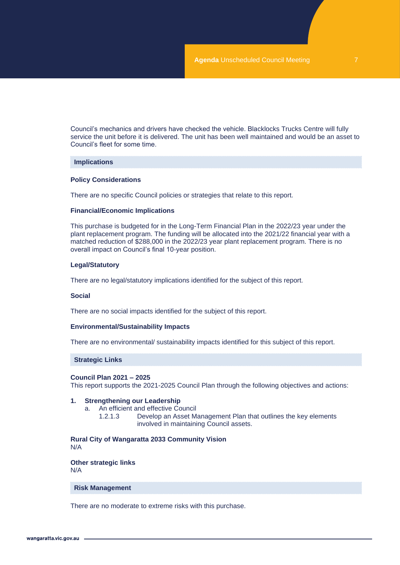Council's mechanics and drivers have checked the vehicle. Blacklocks Trucks Centre will fully service the unit before it is delivered. The unit has been well maintained and would be an asset to Council's fleet for some time.

#### **Implications**

#### **Policy Considerations**

There are no specific Council policies or strategies that relate to this report.

#### **Financial/Economic Implications**

This purchase is budgeted for in the Long-Term Financial Plan in the 2022/23 year under the plant replacement program. The funding will be allocated into the 2021/22 financial year with a matched reduction of \$288,000 in the 2022/23 year plant replacement program. There is no overall impact on Council's final 10-year position.

#### **Legal/Statutory**

There are no legal/statutory implications identified for the subject of this report.

#### **Social**

There are no social impacts identified for the subject of this report.

#### **Environmental/Sustainability Impacts**

There are no environmental/ sustainability impacts identified for this subject of this report.

#### **Strategic Links**

#### **Council Plan 2021 – 2025**

This report supports the 2021-2025 Council Plan through the following objectives and actions:

#### **1. Strengthening our Leadership**

- a. An efficient and effective Council
	- 1.2.1.3 Develop an Asset Management Plan that outlines the key elements involved in maintaining Council assets.

**Rural City of Wangaratta 2033 Community Vision** N/A

**Other strategic links** N/A

#### **Risk Management**

There are no moderate to extreme risks with this purchase.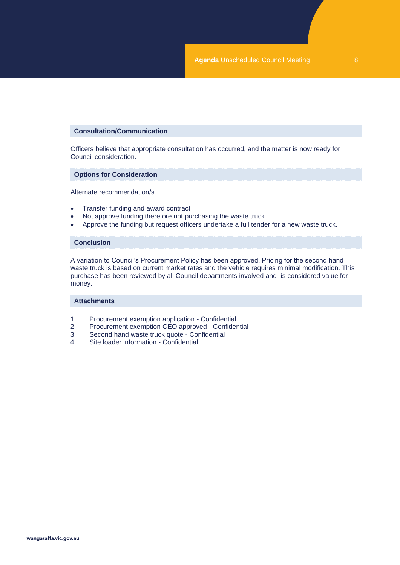#### **Consultation/Communication**

Officers believe that appropriate consultation has occurred, and the matter is now ready for Council consideration.

#### **Options for Consideration**

Alternate recommendation/s

- Transfer funding and award contract
- Not approve funding therefore not purchasing the waste truck
- Approve the funding but request officers undertake a full tender for a new waste truck.

#### **Conclusion**

A variation to Council's Procurement Policy has been approved. Pricing for the second hand waste truck is based on current market rates and the vehicle requires minimal modification. This purchase has been reviewed by all Council departments involved and is considered value for money.

#### **Attachments**

- 1 Procurement exemption application Confidential<br>2 Procurement exemption CEO approved Confider
- 2 Procurement exemption CEO approved Confidential<br>3 Second hand waste truck quote Confidential
- 3 Second hand waste truck quote Confidential<br>4 Site loader information Confidential
- Site loader information Confidential